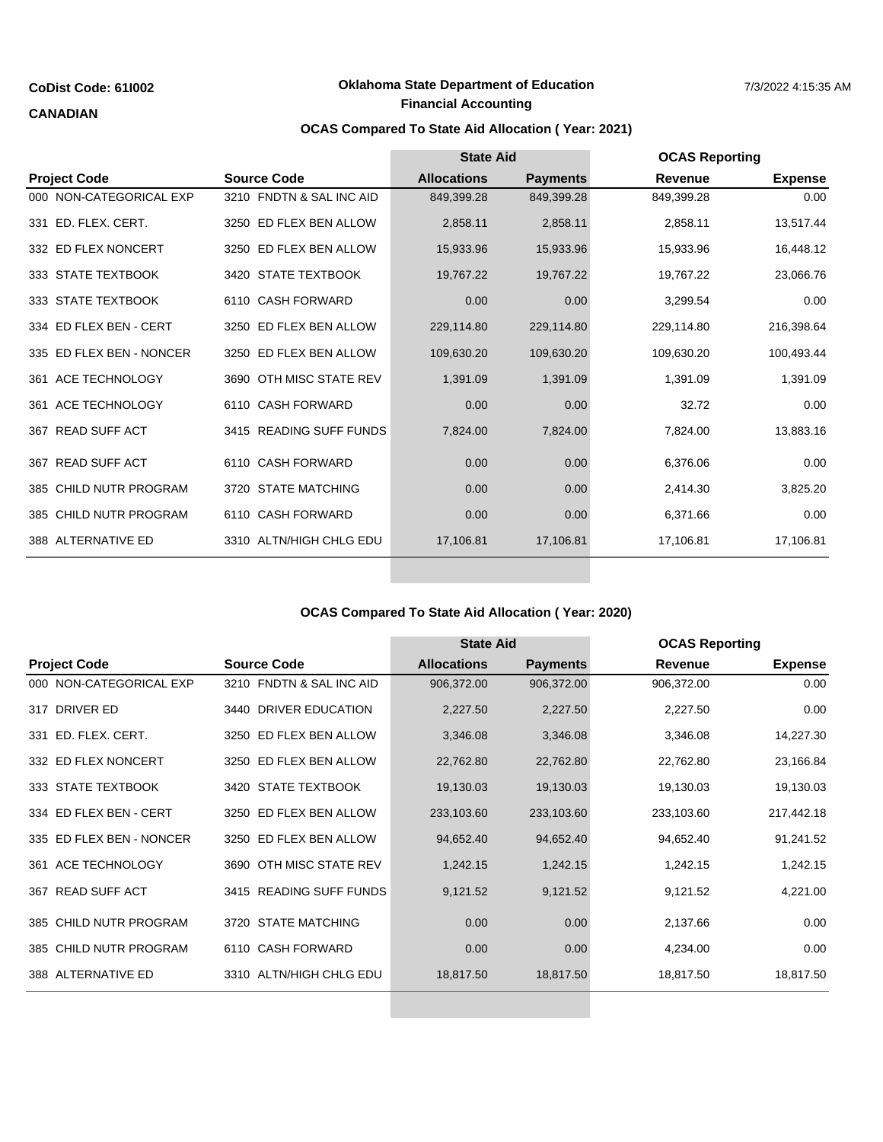### **CANADIAN**

## **Financial Accounting CoDist Code: 61I002 Contract Conduct Conduct Conduct Conduct Conduct Code: 61I002 CoDist Code: 61I002 Conduct Conduct Conduct Conduct Conduct Conduct Conduct Conduct Conduct Conduct Conduct Conduct Conduct Conduct C**

# **OCAS Compared To State Aid Allocation ( Year: 2021)**

|                             | <b>Source Code</b>            | <b>State Aid</b>   |                 | <b>OCAS Reporting</b> |                |
|-----------------------------|-------------------------------|--------------------|-----------------|-----------------------|----------------|
| <b>Project Code</b>         |                               | <b>Allocations</b> | <b>Payments</b> | Revenue               | <b>Expense</b> |
| 000 NON-CATEGORICAL EXP     | 3210 FNDTN & SAL INC AID      | 849,399.28         | 849,399.28      | 849,399.28            | 0.00           |
| 331 ED. FLEX. CERT.         | 3250 ED FLEX BEN ALLOW        | 2,858.11           | 2,858.11        | 2,858.11              | 13,517.44      |
| 332 ED FLEX NONCERT         | 3250 ED FLEX BEN ALLOW        | 15,933.96          | 15,933.96       | 15,933.96             | 16,448.12      |
| 333 STATE TEXTBOOK          | 3420 STATE TEXTBOOK           | 19,767.22          | 19,767.22       | 19,767.22             | 23,066.76      |
| 333 STATE TEXTBOOK          | 6110 CASH FORWARD             | 0.00               | 0.00            | 3,299.54              | 0.00           |
| 334 ED FLEX BEN - CERT      | ED FLEX BEN ALLOW<br>3250     | 229,114.80         | 229,114.80      | 229,114.80            | 216,398.64     |
| 335 ED FLEX BEN - NONCER    | 3250 ED FLEX BEN ALLOW        | 109,630.20         | 109,630.20      | 109,630.20            | 100,493.44     |
| 361 ACE TECHNOLOGY          | 3690 OTH MISC STATE REV       | 1,391.09           | 1,391.09        | 1,391.09              | 1,391.09       |
| 361 ACE TECHNOLOGY          | <b>CASH FORWARD</b><br>6110   | 0.00               | 0.00            | 32.72                 | 0.00           |
| 367 READ SUFF ACT           | 3415 READING SUFF FUNDS       | 7,824.00           | 7,824.00        | 7,824.00              | 13,883.16      |
| <b>READ SUFF ACT</b><br>367 | 6110 CASH FORWARD             | 0.00               | 0.00            | 6,376.06              | 0.00           |
| 385 CHILD NUTR PROGRAM      | <b>STATE MATCHING</b><br>3720 | 0.00               | 0.00            | 2,414.30              | 3,825.20       |
| 385 CHILD NUTR PROGRAM      | 6110 CASH FORWARD             | 0.00               | 0.00            | 6,371.66              | 0.00           |
| 388 ALTERNATIVE ED          | 3310 ALTN/HIGH CHLG EDU       | 17,106.81          | 17,106.81       | 17,106.81             | 17,106.81      |
|                             |                               |                    |                 |                       |                |

## **OCAS Compared To State Aid Allocation ( Year: 2020)**

|                             | <b>Source Code</b>       | <b>State Aid</b>   |                 | <b>OCAS Reporting</b> |                |
|-----------------------------|--------------------------|--------------------|-----------------|-----------------------|----------------|
| <b>Project Code</b>         |                          | <b>Allocations</b> | <b>Payments</b> | <b>Revenue</b>        | <b>Expense</b> |
| 000 NON-CATEGORICAL EXP     | 3210 FNDTN & SAL INC AID | 906,372.00         | 906,372.00      | 906,372.00            | 0.00           |
| DRIVER ED<br>317            | 3440 DRIVER EDUCATION    | 2,227.50           | 2,227.50        | 2,227.50              | 0.00           |
| ED. FLEX. CERT.<br>331      | 3250 ED FLEX BEN ALLOW   | 3,346.08           | 3,346.08        | 3,346.08              | 14,227.30      |
| 332 ED FLEX NONCERT         | 3250 ED FLEX BEN ALLOW   | 22,762.80          | 22,762.80       | 22,762.80             | 23,166.84      |
| 333 STATE TEXTBOOK          | 3420 STATE TEXTBOOK      | 19,130.03          | 19,130.03       | 19,130.03             | 19,130.03      |
| 334 ED FLEX BEN - CERT      | 3250 ED FLEX BEN ALLOW   | 233,103.60         | 233,103.60      | 233,103.60            | 217,442.18     |
| 335 ED FLEX BEN - NONCER    | 3250 ED FLEX BEN ALLOW   | 94,652.40          | 94,652.40       | 94,652.40             | 91,241.52      |
| ACE TECHNOLOGY<br>361       | 3690 OTH MISC STATE REV  | 1,242.15           | 1,242.15        | 1,242.15              | 1,242.15       |
| <b>READ SUFF ACT</b><br>367 | 3415 READING SUFF FUNDS  | 9,121.52           | 9,121.52        | 9,121.52              | 4,221.00       |
| 385 CHILD NUTR PROGRAM      | 3720 STATE MATCHING      | 0.00               | 0.00            | 2,137.66              | 0.00           |
| 385 CHILD NUTR PROGRAM      | 6110 CASH FORWARD        | 0.00               | 0.00            | 4,234.00              | 0.00           |
| 388 ALTERNATIVE ED          | 3310 ALTN/HIGH CHLG EDU  | 18,817.50          | 18,817.50       | 18,817.50             | 18,817.50      |
|                             |                          |                    |                 |                       |                |